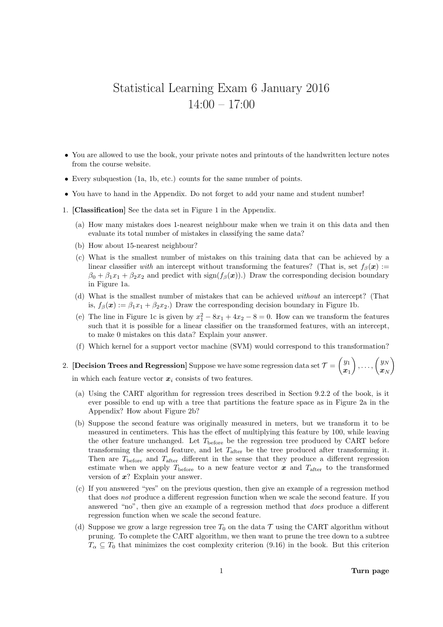## Statistical Learning Exam 6 January 2016 14:00 – 17:00

- You are allowed to use the book, your private notes and printouts of the handwritten lecture notes from the course website.
- Every subquestion (1a, 1b, etc.) counts for the same number of points.
- You have to hand in the Appendix. Do not forget to add your name and student number!
- 1. [Classification] See the data set in Figure 1 in the Appendix.
	- (a) How many mistakes does 1-nearest neighbour make when we train it on this data and then evaluate its total number of mistakes in classifying the same data?
	- (b) How about 15-nearest neighbour?
	- (c) What is the smallest number of mistakes on this training data that can be achieved by a linear classifier with an intercept without transforming the features? (That is, set  $f_\beta(x) :=$  $\beta_0 + \beta_1 x_1 + \beta_2 x_2$  and predict with sign $(f_\beta(x))$ .) Draw the corresponding decision boundary in Figure 1a.
	- (d) What is the smallest number of mistakes that can be achieved without an intercept? (That is,  $f_\beta(\mathbf{x}) := \beta_1 x_1 + \beta_2 x_2$ .) Draw the corresponding decision boundary in Figure 1b.
	- (e) The line in Figure 1c is given by  $x_1^2 8x_1 + 4x_2 8 = 0$ . How can we transform the features such that it is possible for a linear classifier on the transformed features, with an intercept, to make 0 mistakes on this data? Explain your answer.
	- (f) Which kernel for a support vector machine (SVM) would correspond to this transformation?

## 2. [Decision Trees and Regression] Suppose we have some regression data set  $\mathcal{T} = \begin{pmatrix} y_1 \ y_2 \end{pmatrix}$  $\boldsymbol{x}_1$  $\Big)$ ,...,  $\Big(\frac{y_N}{y_N}\Big)$  $\boldsymbol{x}_N$  $\setminus$

in which each feature vector  $x_i$  consists of two features.

- (a) Using the CART algorithm for regression trees described in Section 9.2.2 of the book, is it ever possible to end up with a tree that partitions the feature space as in Figure 2a in the Appendix? How about Figure 2b?
- (b) Suppose the second feature was originally measured in meters, but we transform it to be measured in centimeters. This has the effect of multiplying this feature by 100, while leaving the other feature unchanged. Let  $T_{before}$  be the regression tree produced by CART before transforming the second feature, and let  $T_{after}$  be the tree produced after transforming it. Then are  $T_{\text{before}}$  and  $T_{\text{after}}$  different in the sense that they produce a different regression estimate when we apply  $T_{\text{before}}$  to a new feature vector x and  $T_{\text{after}}$  to the transformed version of  $x$ ? Explain your answer.
- (c) If you answered "yes" on the previous question, then give an example of a regression method that does not produce a different regression function when we scale the second feature. If you answered "no", then give an example of a regression method that does produce a different regression function when we scale the second feature.
- (d) Suppose we grow a large regression tree  $T_0$  on the data  $\mathcal T$  using the CART algorithm without pruning. To complete the CART algorithm, we then want to prune the tree down to a subtree  $T_{\alpha} \subseteq T_0$  that minimizes the cost complexity criterion (9.16) in the book. But this criterion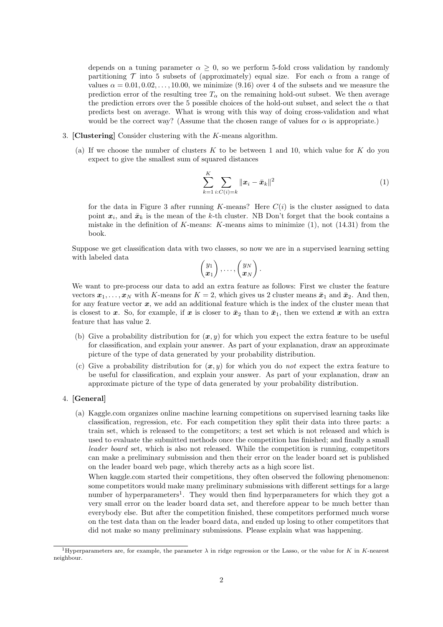depends on a tuning parameter  $\alpha \geq 0$ , so we perform 5-fold cross validation by randomly partitioning  $\mathcal T$  into 5 subsets of (approximately) equal size. For each  $\alpha$  from a range of values  $\alpha = 0.01, 0.02, \ldots, 10.00$ , we minimize (9.16) over 4 of the subsets and we measure the prediction error of the resulting tree  $T_{\alpha}$  on the remaining hold-out subset. We then average the prediction errors over the 5 possible choices of the hold-out subset, and select the  $\alpha$  that predicts best on average. What is wrong with this way of doing cross-validation and what would be the correct way? (Assume that the chosen range of values for  $\alpha$  is appropriate.)

- 3. [Clustering] Consider clustering with the K-means algorithm.
	- (a) If we choose the number of clusters  $K$  to be between 1 and 10, which value for  $K$  do you expect to give the smallest sum of squared distances

$$
\sum_{k=1}^{K} \sum_{i:C(i)=k} ||x_i - \bar{x}_k||^2
$$
 (1)

for the data in Figure 3 after running K-means? Here  $C(i)$  is the cluster assigned to data point  $x_i$ , and  $\bar{x}_k$  is the mean of the k-th cluster. NB Don't forget that the book contains a mistake in the definition of K-means: K-means aims to minimize  $(1)$ , not  $(14.31)$  from the book.

Suppose we get classification data with two classes, so now we are in a supervised learning setting with labeled data

$$
\begin{pmatrix} y_1 \\ x_1 \end{pmatrix}, \ldots, \begin{pmatrix} y_N \\ x_N \end{pmatrix}.
$$

We want to pre-process our data to add an extra feature as follows: First we cluster the feature vectors  $x_1, \ldots, x_N$  with K-means for  $K = 2$ , which gives us 2 cluster means  $\bar{x}_1$  and  $\bar{x}_2$ . And then, for any feature vector  $x$ , we add an additional feature which is the index of the cluster mean that is closest to x. So, for example, if x is closer to  $\bar{x}_2$  than to  $\bar{x}_1$ , then we extend x with an extra feature that has value 2.

- (b) Give a probability distribution for  $(x, y)$  for which you expect the extra feature to be useful for classification, and explain your answer. As part of your explanation, draw an approximate picture of the type of data generated by your probability distribution.
- (c) Give a probability distribution for  $(x, y)$  for which you do not expect the extra feature to be useful for classification, and explain your answer. As part of your explanation, draw an approximate picture of the type of data generated by your probability distribution.

## 4. [General]

(a) Kaggle.com organizes online machine learning competitions on supervised learning tasks like classification, regression, etc. For each competition they split their data into three parts: a train set, which is released to the competitors; a test set which is not released and which is used to evaluate the submitted methods once the competition has finished; and finally a small leader board set, which is also not released. While the competition is running, competitors can make a preliminary submission and then their error on the leader board set is published on the leader board web page, which thereby acts as a high score list.

When kaggle.com started their competitions, they often observed the following phenomenon: some competitors would make many preliminary submissions with different settings for a large number of hyperparameters<sup>1</sup>. They would then find hyperparameters for which they got a very small error on the leader board data set, and therefore appear to be much better than everybody else. But after the competition finished, these competitors performed much worse on the test data than on the leader board data, and ended up losing to other competitors that did not make so many preliminary submissions. Please explain what was happening.

<sup>&</sup>lt;sup>1</sup>Hyperparameters are, for example, the parameter  $\lambda$  in ridge regression or the Lasso, or the value for K in K-nearest neighbour.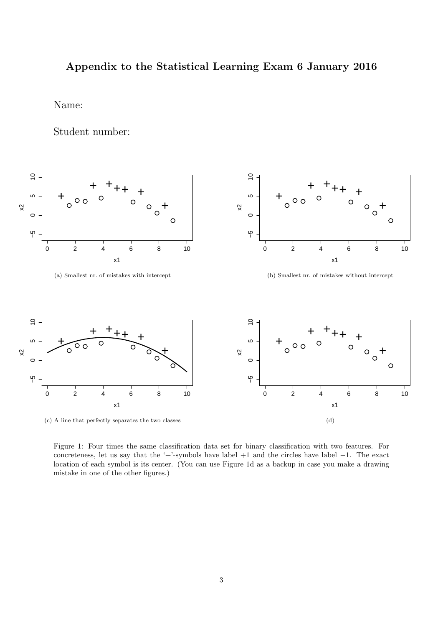## Appendix to the Statistical Learning Exam 6 January 2016

Name:

Student number:



(c) A line that perfectly separates the two classes

Figure 1: Four times the same classification data set for binary classification with two features. For concreteness, let us say that the '+'-symbols have label +1 and the circles have label −1. The exact location of each symbol is its center. (You can use Figure 1d as a backup in case you make a drawing mistake in one of the other figures.)